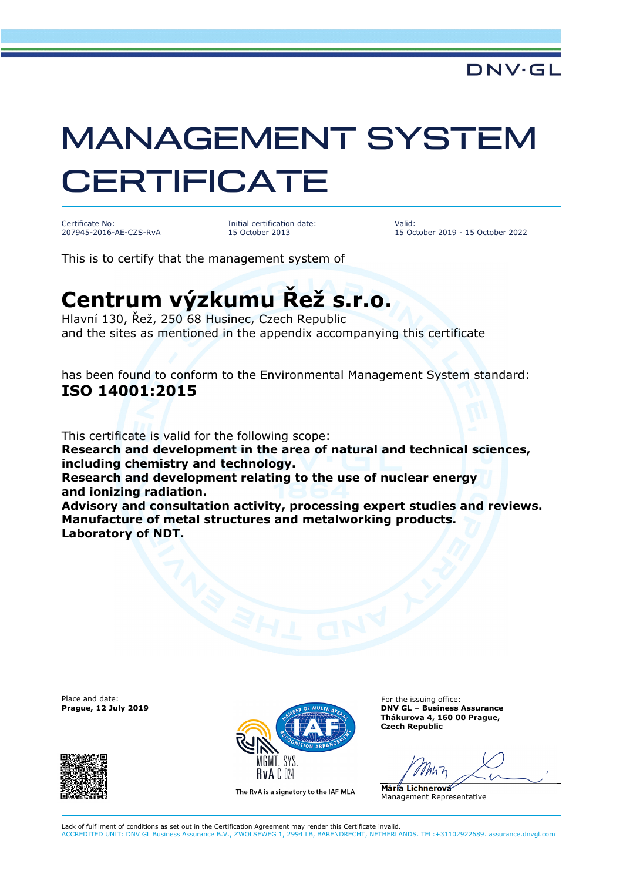## MANAGEMENT SYSTEM **CERTIFICATE**

Certificate No: 207945-2016-AE-CZS-RvA Initial certification date: 15 October 2013

Valid: 15 October 2019 - 15 October 2022

This is to certify that the management system of

## **Centrum výzkumu Řež s.r.o.**

Hlavní 130, Řež, 250 68 Husinec, Czech Republic and the sites as mentioned in the appendix accompanying this certificate

has been found to conform to the Environmental Management System standard: **ISO 14001:2015** 

This certificate is valid for the following scope:

**Research and development in the area of natural and technical sciences, including chemistry and technology.** 

**Research and development relating to the use of nuclear energy and ionizing radiation.** 

**Advisory and consultation activity, processing expert studies and reviews. Manufacture of metal structures and metalworking products. Laboratory of NDT.**

Place and date:





The RvA is a signatory to the IAF MLA

For the issuing office: **Thákurova 4, 160 00 Prague, Czech Republic** 

**Mária Lichnerová**  Management Representative

Lack of fulfilment of conditions as set out in the Certification Agreement may render this Certificate invalid. ACCREDITED UNIT: DNV GL Business Assurance B.V., ZWOLSEWEG 1, 2994 LB, BARENDRECHT, NETHERLANDS. TEL:+31102922689. assurance.dnvgl.com